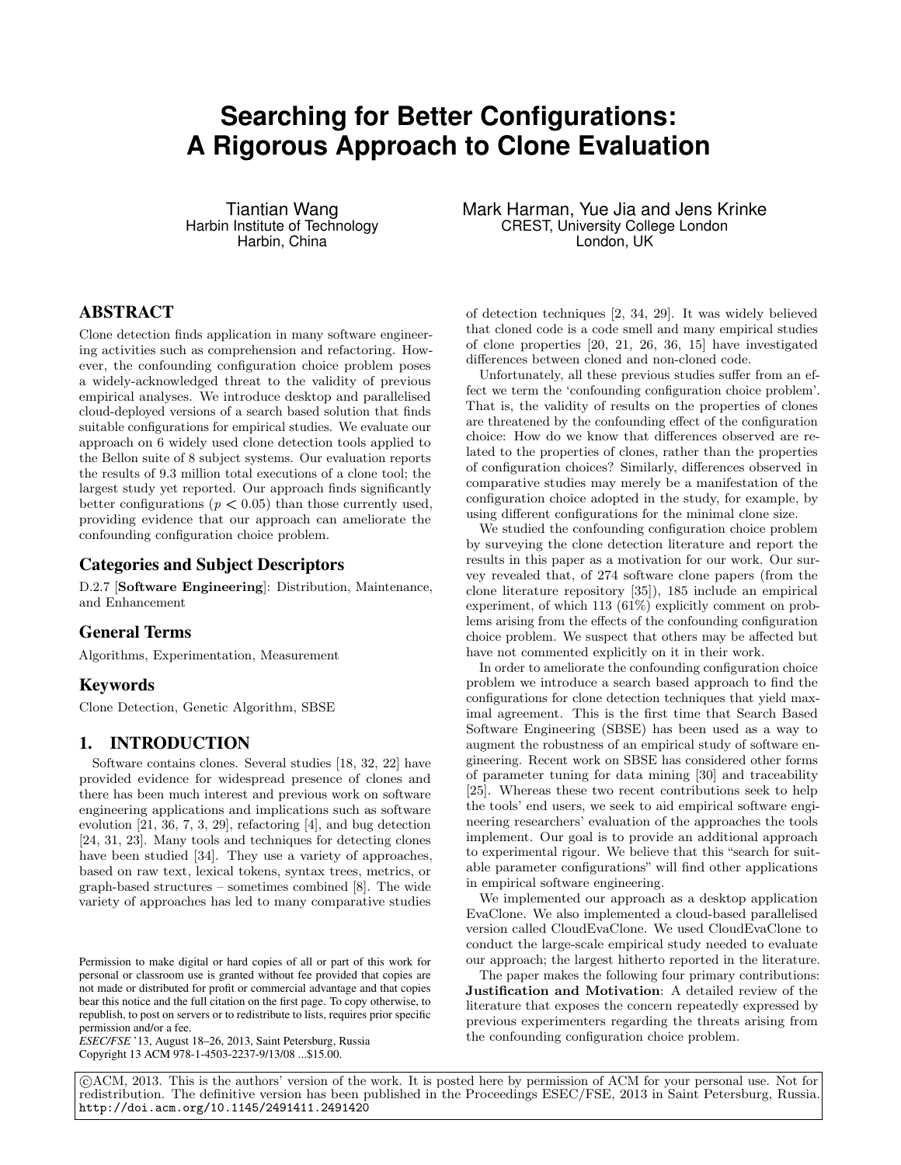# **Searching for Better Configurations: A Rigorous Approach to Clone Evaluation**

Tiantian Wang Harbin Institute of Technology Harbin, China

# ABSTRACT

Clone detection finds application in many software engineering activities such as comprehension and refactoring. However, the confounding configuration choice problem poses a widely-acknowledged threat to the validity of previous empirical analyses. We introduce desktop and parallelised cloud-deployed versions of a search based solution that finds suitable configurations for empirical studies. We evaluate our approach on 6 widely used clone detection tools applied to the Bellon suite of 8 subject systems. Our evaluation reports the results of 9.3 million total executions of a clone tool; the largest study yet reported. Our approach finds significantly better configurations ( $p < 0.05$ ) than those currently used, providing evidence that our approach can ameliorate the confounding configuration choice problem.

## Categories and Subject Descriptors

D.2.7 [Software Engineering]: Distribution, Maintenance, and Enhancement

## General Terms

Algorithms, Experimentation, Measurement

#### Keywords

Clone Detection, Genetic Algorithm, SBSE

# 1. INTRODUCTION

Software contains clones. Several studies [18, 32, 22] have provided evidence for widespread presence of clones and there has been much interest and previous work on software engineering applications and implications such as software evolution [21, 36, 7, 3, 29], refactoring [4], and bug detection [24, 31, 23]. Many tools and techniques for detecting clones have been studied [34]. They use a variety of approaches, based on raw text, lexical tokens, syntax trees, metrics, or graph-based structures – sometimes combined [8]. The wide variety of approaches has led to many comparative studies

*ESEC/FSE* '13, August 18–26, 2013, Saint Petersburg, Russia Copyright 13 ACM 978-1-4503-2237-9/13/08 ...\$15.00.

Mark Harman, Yue Jia and Jens Krinke CREST, University College London London, UK

of detection techniques [2, 34, 29]. It was widely believed that cloned code is a code smell and many empirical studies of clone properties [20, 21, 26, 36, 15] have investigated differences between cloned and non-cloned code.

Unfortunately, all these previous studies suffer from an effect we term the 'confounding configuration choice problem'. That is, the validity of results on the properties of clones are threatened by the confounding effect of the configuration choice: How do we know that differences observed are related to the properties of clones, rather than the properties of configuration choices? Similarly, differences observed in comparative studies may merely be a manifestation of the configuration choice adopted in the study, for example, by using different configurations for the minimal clone size.

We studied the confounding configuration choice problem by surveying the clone detection literature and report the results in this paper as a motivation for our work. Our survey revealed that, of 274 software clone papers (from the clone literature repository [35]), 185 include an empirical experiment, of which 113 (61%) explicitly comment on problems arising from the effects of the confounding configuration choice problem. We suspect that others may be affected but have not commented explicitly on it in their work.

In order to ameliorate the confounding configuration choice problem we introduce a search based approach to find the configurations for clone detection techniques that yield maximal agreement. This is the first time that Search Based Software Engineering (SBSE) has been used as a way to augment the robustness of an empirical study of software engineering. Recent work on SBSE has considered other forms of parameter tuning for data mining [30] and traceability [25]. Whereas these two recent contributions seek to help the tools' end users, we seek to aid empirical software engineering researchers' evaluation of the approaches the tools implement. Our goal is to provide an additional approach to experimental rigour. We believe that this "search for suitable parameter configurations" will find other applications in empirical software engineering.

We implemented our approach as a desktop application EvaClone. We also implemented a cloud-based parallelised version called CloudEvaClone. We used CloudEvaClone to conduct the large-scale empirical study needed to evaluate our approach; the largest hitherto reported in the literature.

The paper makes the following four primary contributions: Justification and Motivation: A detailed review of the literature that exposes the concern repeatedly expressed by previous experimenters regarding the threats arising from the confounding configuration choice problem.

 c ACM, 2013. This is the authors' version of the work. It is posted here by permission of ACM for your personal use. Not for redistribution. The definitive version has been published in the Proceedings ESEC/FSE, 2013 in Saint Petersburg, Russia. http://doi.acm.org/10.1145/2491411.2491420

Permission to make digital or hard copies of all or part of this work for personal or classroom use is granted without fee provided that copies are not made or distributed for profit or commercial advantage and that copies bear this notice and the full citation on the first page. To copy otherwise, to republish, to post on servers or to redistribute to lists, requires prior specific permission and/or a fee.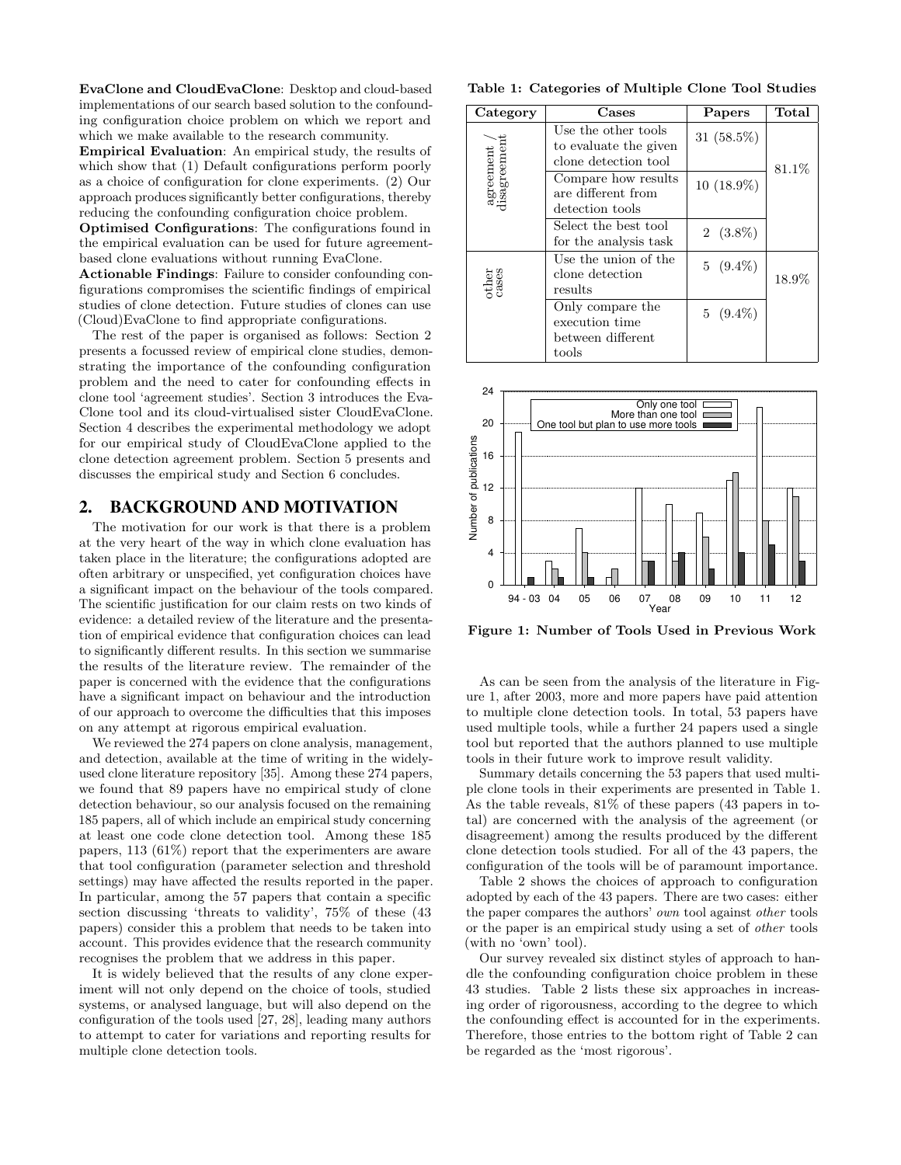EvaClone and CloudEvaClone: Desktop and cloud-based implementations of our search based solution to the confounding configuration choice problem on which we report and which we make available to the research community.

Empirical Evaluation: An empirical study, the results of which show that (1) Default configurations perform poorly as a choice of configuration for clone experiments. (2) Our approach produces significantly better configurations, thereby reducing the confounding configuration choice problem.

Optimised Configurations: The configurations found in the empirical evaluation can be used for future agreementbased clone evaluations without running EvaClone.

Actionable Findings: Failure to consider confounding configurations compromises the scientific findings of empirical studies of clone detection. Future studies of clones can use (Cloud)EvaClone to find appropriate configurations.

The rest of the paper is organised as follows: Section 2 presents a focussed review of empirical clone studies, demonstrating the importance of the confounding configuration problem and the need to cater for confounding effects in clone tool 'agreement studies'. Section 3 introduces the Eva-Clone tool and its cloud-virtualised sister CloudEvaClone. Section 4 describes the experimental methodology we adopt for our empirical study of CloudEvaClone applied to the clone detection agreement problem. Section 5 presents and discusses the empirical study and Section 6 concludes.

## 2. BACKGROUND AND MOTIVATION

The motivation for our work is that there is a problem at the very heart of the way in which clone evaluation has taken place in the literature; the configurations adopted are often arbitrary or unspecified, yet configuration choices have a significant impact on the behaviour of the tools compared. The scientific justification for our claim rests on two kinds of evidence: a detailed review of the literature and the presentation of empirical evidence that configuration choices can lead to significantly different results. In this section we summarise the results of the literature review. The remainder of the paper is concerned with the evidence that the configurations have a significant impact on behaviour and the introduction of our approach to overcome the difficulties that this imposes on any attempt at rigorous empirical evaluation.

We reviewed the 274 papers on clone analysis, management, and detection, available at the time of writing in the widelyused clone literature repository [35]. Among these 274 papers, we found that 89 papers have no empirical study of clone detection behaviour, so our analysis focused on the remaining 185 papers, all of which include an empirical study concerning at least one code clone detection tool. Among these 185 papers, 113 (61%) report that the experimenters are aware that tool configuration (parameter selection and threshold settings) may have affected the results reported in the paper. In particular, among the 57 papers that contain a specific section discussing 'threats to validity', 75% of these (43 papers) consider this a problem that needs to be taken into account. This provides evidence that the research community recognises the problem that we address in this paper.

It is widely believed that the results of any clone experiment will not only depend on the choice of tools, studied systems, or analysed language, but will also depend on the configuration of the tools used [27, 28], leading many authors to attempt to cater for variations and reporting results for multiple clone detection tools.

Table 1: Categories of Multiple Clone Tool Studies

| Category                    | Cases                                              | Papers        | Total |
|-----------------------------|----------------------------------------------------|---------------|-------|
|                             | Use the other tools<br>to evaluate the given       | 31 $(58.5\%)$ |       |
|                             | clone detection tool                               |               | 81.1% |
| agreement /<br>disagreement | Compare how results<br>are different from          | 10 (18.9%)    |       |
|                             | detection tools                                    |               |       |
|                             | Select the best tool<br>for the analysis task      | $2(3.8\%)$    |       |
| other<br>cases              | Use the union of the<br>clone detection<br>results | $5(9.4\%)$    | 18.9% |
|                             |                                                    |               |       |
|                             | Only compare the<br>execution time                 | $5(9.4\%)$    |       |
|                             | between different                                  |               |       |
|                             | $\text{tools}$                                     |               |       |



Figure 1: Number of Tools Used in Previous Work

As can be seen from the analysis of the literature in Figure 1, after 2003, more and more papers have paid attention to multiple clone detection tools. In total, 53 papers have used multiple tools, while a further 24 papers used a single tool but reported that the authors planned to use multiple tools in their future work to improve result validity.

Summary details concerning the 53 papers that used multiple clone tools in their experiments are presented in Table 1. As the table reveals, 81% of these papers (43 papers in total) are concerned with the analysis of the agreement (or disagreement) among the results produced by the different clone detection tools studied. For all of the 43 papers, the configuration of the tools will be of paramount importance.

Table 2 shows the choices of approach to configuration adopted by each of the 43 papers. There are two cases: either the paper compares the authors' own tool against other tools or the paper is an empirical study using a set of other tools (with no 'own' tool).

Our survey revealed six distinct styles of approach to handle the confounding configuration choice problem in these 43 studies. Table 2 lists these six approaches in increasing order of rigorousness, according to the degree to which the confounding effect is accounted for in the experiments. Therefore, those entries to the bottom right of Table 2 can be regarded as the 'most rigorous'.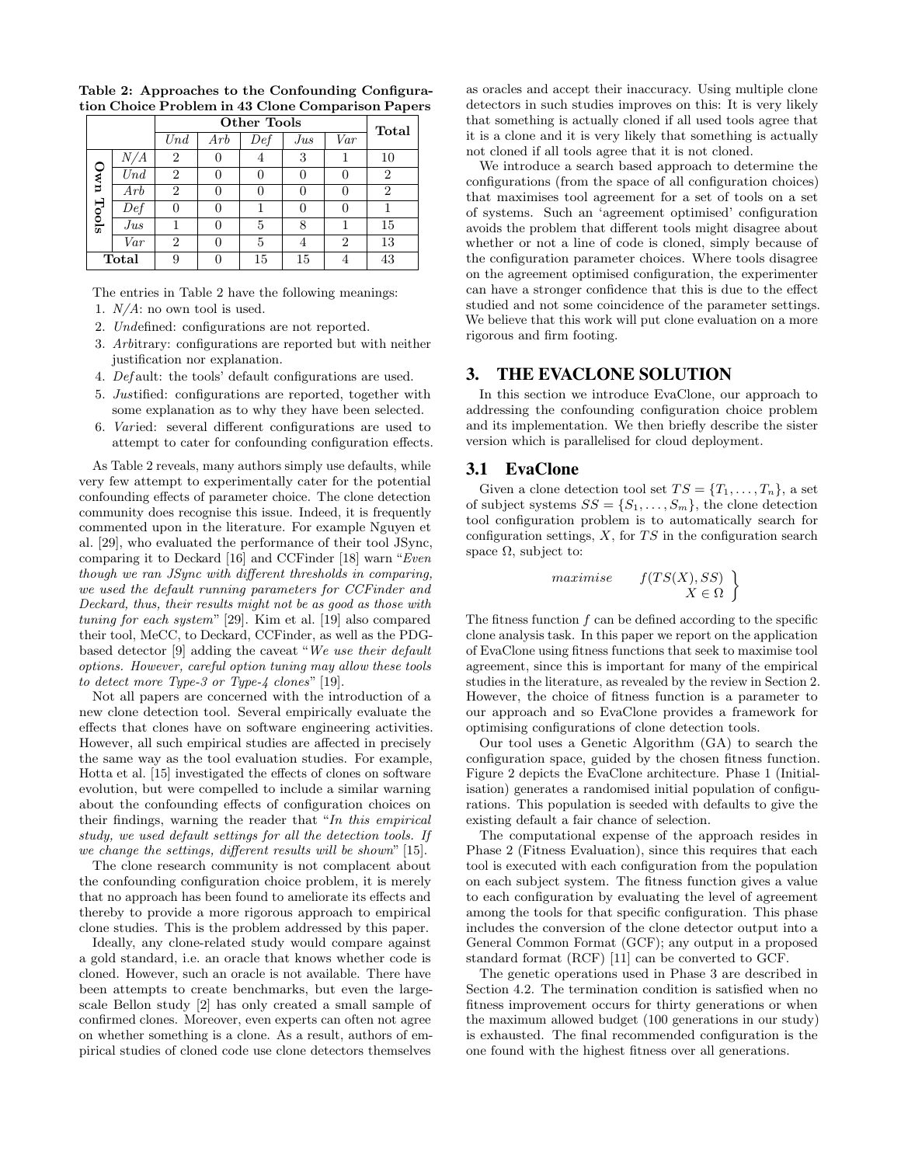|       |       |                  | Total |     |     |                |                |
|-------|-------|------------------|-------|-----|-----|----------------|----------------|
|       |       | $\overline{Und}$ | Arb   | Def | Jus | Var            |                |
|       | N/A   | 2                |       | 4   | 3   |                | 10             |
| nwo   | Und   | $\overline{2}$   |       |     | 0   |                | 2              |
|       | Arb   | $\overline{2}$   |       |     | 0   |                | $\overline{2}$ |
| Tools | Def   | 0                |       |     | 0   |                |                |
|       | Jus   |                  |       | 5   | 8   |                | 15             |
|       | Var   | $\overline{2}$   |       | 5   | 4   | $\overline{2}$ | 13             |
|       | Total | 9                |       | 15  | 15  |                | 43             |

Table 2: Approaches to the Confounding Configuration Choice Problem in 43 Clone Comparison Papers

The entries in Table 2 have the following meanings:

- 1.  $N/A$ : no own tool is used.
- 2. Undefined: configurations are not reported.
- 3. Arbitrary: configurations are reported but with neither justification nor explanation.
- 4. Def ault: the tools' default configurations are used.
- 5. Justified: configurations are reported, together with some explanation as to why they have been selected.
- 6. Varied: several different configurations are used to attempt to cater for confounding configuration effects.

As Table 2 reveals, many authors simply use defaults, while very few attempt to experimentally cater for the potential confounding effects of parameter choice. The clone detection community does recognise this issue. Indeed, it is frequently commented upon in the literature. For example Nguyen et al. [29], who evaluated the performance of their tool JSync, comparing it to Deckard [16] and CCFinder [18] warn "Even though we ran JSync with different thresholds in comparing, we used the default running parameters for CCFinder and Deckard, thus, their results might not be as good as those with tuning for each system" [29]. Kim et al. [19] also compared their tool, MeCC, to Deckard, CCFinder, as well as the PDGbased detector [9] adding the caveat "We use their default options. However, careful option tuning may allow these tools to detect more Type-3 or Type-4 clones" [19].

Not all papers are concerned with the introduction of a new clone detection tool. Several empirically evaluate the effects that clones have on software engineering activities. However, all such empirical studies are affected in precisely the same way as the tool evaluation studies. For example, Hotta et al. [15] investigated the effects of clones on software evolution, but were compelled to include a similar warning about the confounding effects of configuration choices on their findings, warning the reader that "In this empirical study, we used default settings for all the detection tools. If we change the settings, different results will be shown" [15].

The clone research community is not complacent about the confounding configuration choice problem, it is merely that no approach has been found to ameliorate its effects and thereby to provide a more rigorous approach to empirical clone studies. This is the problem addressed by this paper.

Ideally, any clone-related study would compare against a gold standard, i.e. an oracle that knows whether code is cloned. However, such an oracle is not available. There have been attempts to create benchmarks, but even the largescale Bellon study [2] has only created a small sample of confirmed clones. Moreover, even experts can often not agree on whether something is a clone. As a result, authors of empirical studies of cloned code use clone detectors themselves

as oracles and accept their inaccuracy. Using multiple clone detectors in such studies improves on this: It is very likely that something is actually cloned if all used tools agree that it is a clone and it is very likely that something is actually not cloned if all tools agree that it is not cloned.

We introduce a search based approach to determine the configurations (from the space of all configuration choices) that maximises tool agreement for a set of tools on a set of systems. Such an 'agreement optimised' configuration avoids the problem that different tools might disagree about whether or not a line of code is cloned, simply because of the configuration parameter choices. Where tools disagree on the agreement optimised configuration, the experimenter can have a stronger confidence that this is due to the effect studied and not some coincidence of the parameter settings. We believe that this work will put clone evaluation on a more rigorous and firm footing.

## 3. THE EVACLONE SOLUTION

In this section we introduce EvaClone, our approach to addressing the confounding configuration choice problem and its implementation. We then briefly describe the sister version which is parallelised for cloud deployment.

## 3.1 EvaClone

Given a clone detection tool set  $TS = \{T_1, \ldots, T_n\}$ , a set of subject systems  $SS = \{S_1, \ldots, S_m\}$ , the clone detection tool configuration problem is to automatically search for configuration settings,  $X$ , for  $TS$  in the configuration search space  $\Omega$ , subject to:

$$
\begin{array}{ll}\textit{maximise} & f(TS(X), SS) \\ X \in \Omega \end{array}
$$

The fitness function  $f$  can be defined according to the specific clone analysis task. In this paper we report on the application of EvaClone using fitness functions that seek to maximise tool agreement, since this is important for many of the empirical studies in the literature, as revealed by the review in Section 2. However, the choice of fitness function is a parameter to our approach and so EvaClone provides a framework for optimising configurations of clone detection tools.

Our tool uses a Genetic Algorithm (GA) to search the configuration space, guided by the chosen fitness function. Figure 2 depicts the EvaClone architecture. Phase 1 (Initialisation) generates a randomised initial population of configurations. This population is seeded with defaults to give the existing default a fair chance of selection.

The computational expense of the approach resides in Phase 2 (Fitness Evaluation), since this requires that each tool is executed with each configuration from the population on each subject system. The fitness function gives a value to each configuration by evaluating the level of agreement among the tools for that specific configuration. This phase includes the conversion of the clone detector output into a General Common Format (GCF); any output in a proposed standard format (RCF) [11] can be converted to GCF.

The genetic operations used in Phase 3 are described in Section 4.2. The termination condition is satisfied when no fitness improvement occurs for thirty generations or when the maximum allowed budget (100 generations in our study) is exhausted. The final recommended configuration is the one found with the highest fitness over all generations.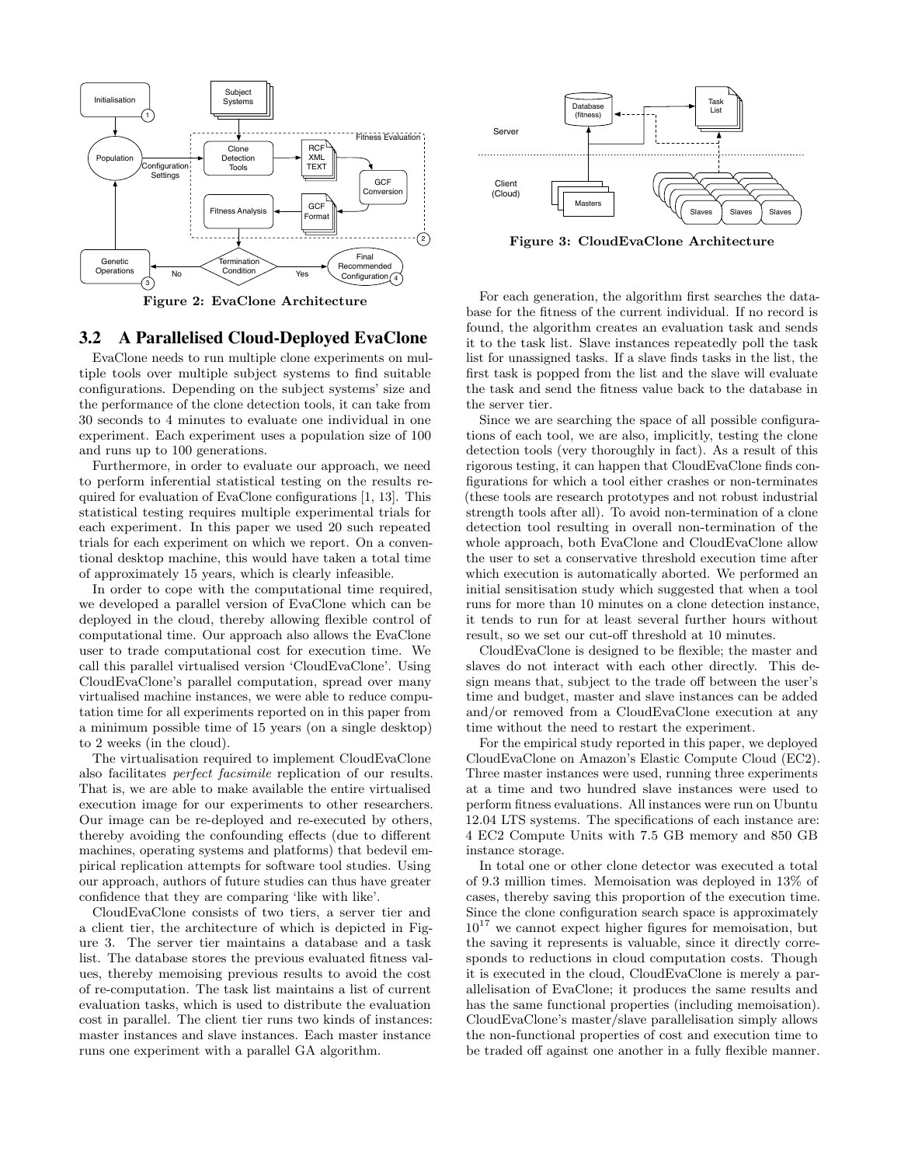

Figure 2: EvaClone Architecture

## 3.2 A Parallelised Cloud-Deployed EvaClone

EvaClone needs to run multiple clone experiments on multiple tools over multiple subject systems to find suitable configurations. Depending on the subject systems' size and the performance of the clone detection tools, it can take from 30 seconds to 4 minutes to evaluate one individual in one experiment. Each experiment uses a population size of 100 and runs up to 100 generations.

Furthermore, in order to evaluate our approach, we need to perform inferential statistical testing on the results required for evaluation of EvaClone configurations [1, 13]. This statistical testing requires multiple experimental trials for each experiment. In this paper we used 20 such repeated trials for each experiment on which we report. On a conventional desktop machine, this would have taken a total time of approximately 15 years, which is clearly infeasible.

In order to cope with the computational time required, we developed a parallel version of EvaClone which can be deployed in the cloud, thereby allowing flexible control of computational time. Our approach also allows the EvaClone user to trade computational cost for execution time. We call this parallel virtualised version 'CloudEvaClone'. Using CloudEvaClone's parallel computation, spread over many virtualised machine instances, we were able to reduce computation time for all experiments reported on in this paper from a minimum possible time of 15 years (on a single desktop) to 2 weeks (in the cloud).

The virtualisation required to implement CloudEvaClone also facilitates perfect facsimile replication of our results. That is, we are able to make available the entire virtualised execution image for our experiments to other researchers. Our image can be re-deployed and re-executed by others, thereby avoiding the confounding effects (due to different machines, operating systems and platforms) that bedevil empirical replication attempts for software tool studies. Using our approach, authors of future studies can thus have greater confidence that they are comparing 'like with like'.

CloudEvaClone consists of two tiers, a server tier and a client tier, the architecture of which is depicted in Figure 3. The server tier maintains a database and a task list. The database stores the previous evaluated fitness values, thereby memoising previous results to avoid the cost of re-computation. The task list maintains a list of current evaluation tasks, which is used to distribute the evaluation cost in parallel. The client tier runs two kinds of instances: master instances and slave instances. Each master instance runs one experiment with a parallel GA algorithm.



Figure 3: CloudEvaClone Architecture

For each generation, the algorithm first searches the database for the fitness of the current individual. If no record is found, the algorithm creates an evaluation task and sends it to the task list. Slave instances repeatedly poll the task list for unassigned tasks. If a slave finds tasks in the list, the first task is popped from the list and the slave will evaluate the task and send the fitness value back to the database in the server tier.

Since we are searching the space of all possible configurations of each tool, we are also, implicitly, testing the clone detection tools (very thoroughly in fact). As a result of this rigorous testing, it can happen that CloudEvaClone finds configurations for which a tool either crashes or non-terminates (these tools are research prototypes and not robust industrial strength tools after all). To avoid non-termination of a clone detection tool resulting in overall non-termination of the whole approach, both EvaClone and CloudEvaClone allow the user to set a conservative threshold execution time after which execution is automatically aborted. We performed an initial sensitisation study which suggested that when a tool runs for more than 10 minutes on a clone detection instance, it tends to run for at least several further hours without result, so we set our cut-off threshold at 10 minutes.

CloudEvaClone is designed to be flexible; the master and slaves do not interact with each other directly. This design means that, subject to the trade off between the user's time and budget, master and slave instances can be added and/or removed from a CloudEvaClone execution at any time without the need to restart the experiment.

For the empirical study reported in this paper, we deployed CloudEvaClone on Amazon's Elastic Compute Cloud (EC2). Three master instances were used, running three experiments at a time and two hundred slave instances were used to perform fitness evaluations. All instances were run on Ubuntu 12.04 LTS systems. The specifications of each instance are: 4 EC2 Compute Units with 7.5 GB memory and 850 GB instance storage.

In total one or other clone detector was executed a total of 9.3 million times. Memoisation was deployed in 13% of cases, thereby saving this proportion of the execution time. Since the clone configuration search space is approximately  $10^{17}$  we cannot expect higher figures for memoisation, but the saving it represents is valuable, since it directly corresponds to reductions in cloud computation costs. Though it is executed in the cloud, CloudEvaClone is merely a parallelisation of EvaClone; it produces the same results and has the same functional properties (including memoisation). CloudEvaClone's master/slave parallelisation simply allows the non-functional properties of cost and execution time to be traded off against one another in a fully flexible manner.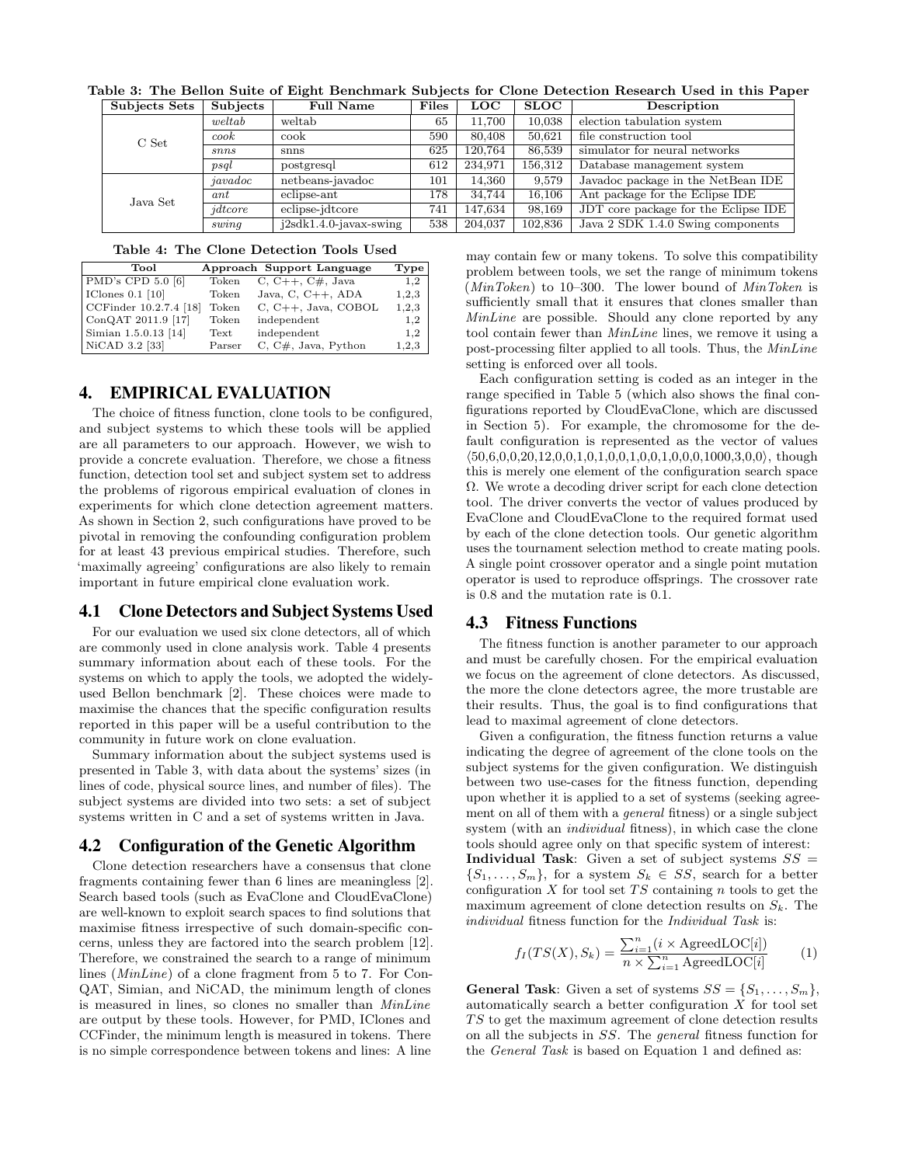| Subjects Sets | Subjects | <b>Full Name</b>         | <b>Files</b> | <b>LOC</b> | $\rm SLOC$ | Description                           |
|---------------|----------|--------------------------|--------------|------------|------------|---------------------------------------|
|               | we       | weltab                   | 65           | 11.700     | 10.038     | election tabulation system            |
| C Set         | cook     | cook                     | 590          | 80,408     | 50.621     | file construction tool                |
|               | snns     | snns                     | 625          | 120.764    | 86.539     | simulator for neural networks         |
|               | psql     | postgresql               | 612          | 234.971    | 156.312    | Database management system            |
|               | javadoc  | netbeans-javadoc         | 101          | 14.360     | 9.579      | Javadoc package in the NetBean IDE    |
| Java Set      | ant      | eclipse-ant              | 178          | 34.744     | 16.106     | Ant package for the Eclipse IDE       |
|               | jdtcore  | eclipse-idtcore          | 741          | 147.634    | 98,169     | JDT core package for the Eclipse IDE  |
| swing         |          | $j2sdk1.4.0-javax-swing$ | 538          | 204,037    | 102,836    | Java $2$ SDK $1.4.0$ Swing components |

Table 3: The Bellon Suite of Eight Benchmark Subjects for Clone Detection Research Used in this Paper

#### Table 4: The Clone Detection Tools Used

| Tool                                   |        |                           |       |
|----------------------------------------|--------|---------------------------|-------|
|                                        |        | Approach Support Language | Type  |
| $ $ PMD's CPD 5.0 [6]                  | Token  | C, $C++$ , $C#$ , Java    | 1,2   |
| $\vert$ IClones 0.1 $\vert$ 10 $\vert$ | Token  | Java, C, $C_{++}$ , ADA   | 1,2,3 |
| CCFinder 10.2.7.4 [18]                 | Token  | $C, C++, Java, COBOL$     | 1,2,3 |
| $\sqrt{\text{ConQAT 2011.9}}$ [17]     | Token  | independent               | 1,2   |
| Simian 1.5.0.13 [14]                   | Text   | independent               | 1,2   |
| NiCAD 3.2 [33]                         | Parser | $C, C#,$ Java, Python     | 1,2,3 |

## 4. EMPIRICAL EVALUATION

The choice of fitness function, clone tools to be configured, and subject systems to which these tools will be applied are all parameters to our approach. However, we wish to provide a concrete evaluation. Therefore, we chose a fitness function, detection tool set and subject system set to address the problems of rigorous empirical evaluation of clones in experiments for which clone detection agreement matters. As shown in Section 2, such configurations have proved to be pivotal in removing the confounding configuration problem for at least 43 previous empirical studies. Therefore, such 'maximally agreeing' configurations are also likely to remain important in future empirical clone evaluation work.

## 4.1 Clone Detectors and Subject Systems Used

For our evaluation we used six clone detectors, all of which are commonly used in clone analysis work. Table 4 presents summary information about each of these tools. For the systems on which to apply the tools, we adopted the widelyused Bellon benchmark [2]. These choices were made to maximise the chances that the specific configuration results reported in this paper will be a useful contribution to the community in future work on clone evaluation.

Summary information about the subject systems used is presented in Table 3, with data about the systems' sizes (in lines of code, physical source lines, and number of files). The subject systems are divided into two sets: a set of subject systems written in C and a set of systems written in Java.

#### 4.2 Configuration of the Genetic Algorithm

Clone detection researchers have a consensus that clone fragments containing fewer than 6 lines are meaningless [2]. Search based tools (such as EvaClone and CloudEvaClone) are well-known to exploit search spaces to find solutions that maximise fitness irrespective of such domain-specific concerns, unless they are factored into the search problem [12]. Therefore, we constrained the search to a range of minimum lines (MinLine) of a clone fragment from 5 to 7. For Con-QAT, Simian, and NiCAD, the minimum length of clones is measured in lines, so clones no smaller than MinLine are output by these tools. However, for PMD, IClones and CCFinder, the minimum length is measured in tokens. There is no simple correspondence between tokens and lines: A line

may contain few or many tokens. To solve this compatibility problem between tools, we set the range of minimum tokens  $(MinToken)$  to 10–300. The lower bound of  $MinToken$  is sufficiently small that it ensures that clones smaller than MinLine are possible. Should any clone reported by any tool contain fewer than MinLine lines, we remove it using a post-processing filter applied to all tools. Thus, the MinLine setting is enforced over all tools.

Each configuration setting is coded as an integer in the range specified in Table 5 (which also shows the final configurations reported by CloudEvaClone, which are discussed in Section 5). For example, the chromosome for the default configuration is represented as the vector of values  $(50,6,0,0,20,12,0,0,1,0,1,0,0,1,0,0,1,0,0,1000,3,0,0)$ , though this is merely one element of the configuration search space Ω. We wrote a decoding driver script for each clone detection tool. The driver converts the vector of values produced by EvaClone and CloudEvaClone to the required format used by each of the clone detection tools. Our genetic algorithm uses the tournament selection method to create mating pools. A single point crossover operator and a single point mutation operator is used to reproduce offsprings. The crossover rate is 0.8 and the mutation rate is 0.1.

## 4.3 Fitness Functions

The fitness function is another parameter to our approach and must be carefully chosen. For the empirical evaluation we focus on the agreement of clone detectors. As discussed, the more the clone detectors agree, the more trustable are their results. Thus, the goal is to find configurations that lead to maximal agreement of clone detectors.

Given a configuration, the fitness function returns a value indicating the degree of agreement of the clone tools on the subject systems for the given configuration. We distinguish between two use-cases for the fitness function, depending upon whether it is applied to a set of systems (seeking agreement on all of them with a general fitness) or a single subject system (with an individual fitness), in which case the clone tools should agree only on that specific system of interest:

Individual Task: Given a set of subject systems  $SS =$  ${S_1, \ldots, S_m}$ , for a system  $S_k \in SS$ , search for a better configuration  $X$  for tool set  $TS$  containing  $n$  tools to get the maximum agreement of clone detection results on  $S_k$ . The individual fitness function for the Individual Task is:

$$
f_I(TS(X), S_k) = \frac{\sum_{i=1}^n (i \times \text{AgreedLOC}[i])}{n \times \sum_{i=1}^n \text{AgreedLOC}[i]} \tag{1}
$$

**General Task:** Given a set of systems  $SS = \{S_1, \ldots, S_m\},\$ automatically search a better configuration  $X$  for tool set  $TS$  to get the maximum agreement of clone detection results on all the subjects in SS. The general fitness function for the General Task is based on Equation 1 and defined as: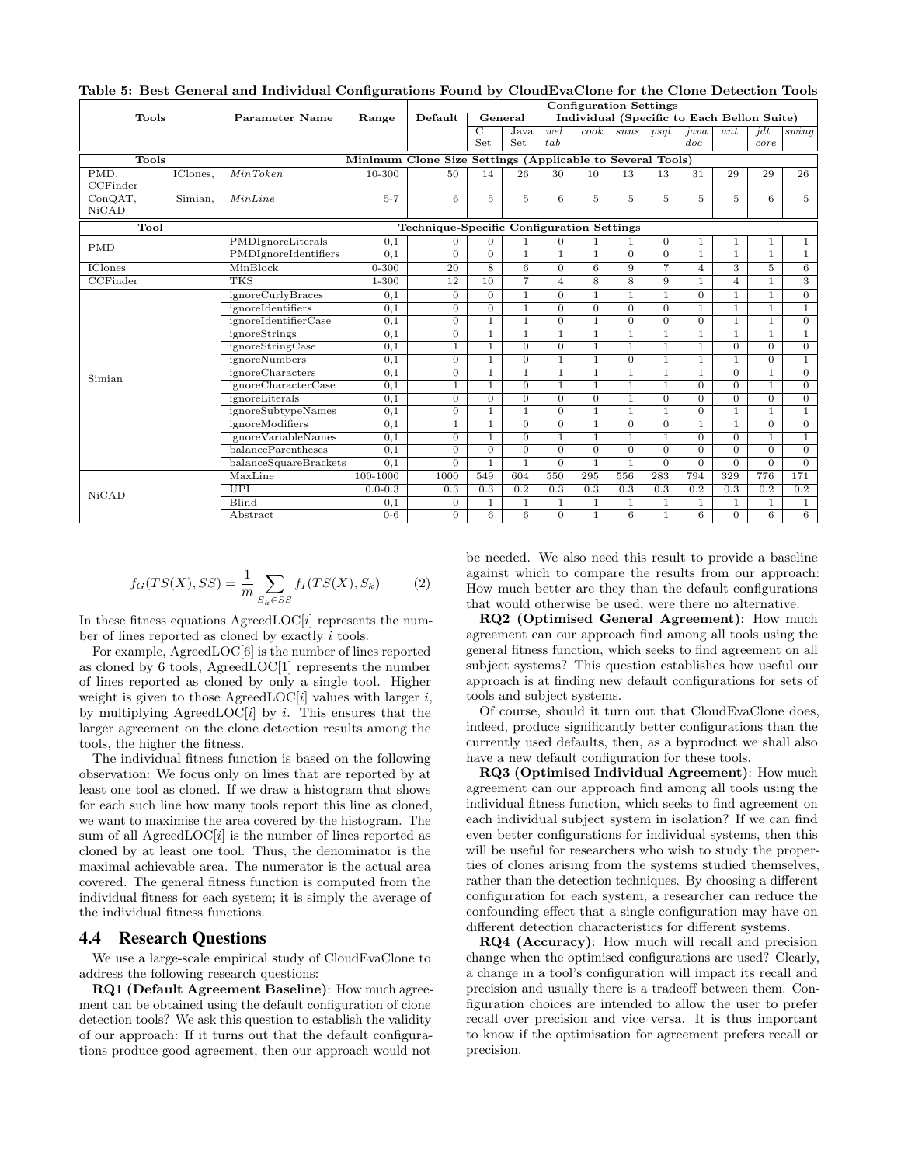|                         |          |                             |                                                           |                                           |                | <b>Configuration Settings</b> |                |                    |                                            |                |                |                |                     |                |
|-------------------------|----------|-----------------------------|-----------------------------------------------------------|-------------------------------------------|----------------|-------------------------------|----------------|--------------------|--------------------------------------------|----------------|----------------|----------------|---------------------|----------------|
| Tools                   |          | Parameter Name              | Range                                                     | Default                                   |                | General                       |                |                    | Individual (Specific to Each Bellon Suite) |                |                |                |                     |                |
|                         |          |                             |                                                           |                                           | $\overline{C}$ | Java                          | wel            | $\overline{c}$ ook | snns                                       | psal           | java           | ant            | $\overline{\eta}dt$ | swinq          |
|                         |          |                             |                                                           |                                           | Set            | Set                           | tab            |                    |                                            |                | doc            |                | core                |                |
| <b>Tools</b>            |          |                             | Minimum Clone Size Settings (Applicable to Several Tools) |                                           |                |                               |                |                    |                                            |                |                |                |                     |                |
| PMD,<br>CCFinder        | IClones, | MinToken                    | 10-300                                                    | 50                                        | 14             | 26                            | 30             | 10                 | 13                                         | 13             | 31             | 29             | 29                  | 26             |
| ConQAT,<br><b>NiCAD</b> | Simian,  | MinLine                     | $5 - 7$                                                   | 6                                         | $\overline{5}$ | 5                             | 6              | 5                  | 5                                          | $\overline{5}$ | 5.             | 5              | 6                   | $5^{\circ}$    |
| Tool                    |          |                             |                                                           | Technique-Specific Configuration Settings |                |                               |                |                    |                                            |                |                |                |                     |                |
| <b>PMD</b>              |          | PMDIgnoreLiterals           | 0,1                                                       | $\Omega$                                  | $\Omega$       | 1                             | $\Omega$       |                    |                                            | $\overline{0}$ |                | $\mathbf{1}$   | 1                   | $\mathbf{1}$   |
|                         |          | PMDIgnoreIdentifiers        | 0,1                                                       | $\overline{0}$                            | $\overline{0}$ | $\mathbf{1}$                  | 1              | 1                  | $\overline{0}$                             | $\overline{0}$ | 1              | $\overline{1}$ | $\mathbf{1}$        | $\overline{1}$ |
| <b>IClones</b>          |          | MinBlock                    | $0 - 300$                                                 | 20                                        | 8              | 6                             | $\Omega$       | 6                  | 9                                          | $\overline{7}$ | 4              | 3              | 5                   | 6              |
| CCFinder                |          | <b>TKS</b>                  | 1-300                                                     | 12                                        | 10             | $\overline{7}$                | $\overline{4}$ | 8                  | 8                                          | 9              | 1              | $\overline{4}$ | $\mathbf{1}$        | 3              |
|                         |          | ignoreCurlyBraces           | 0,1                                                       | $\Omega$                                  | $\Omega$       | $\mathbf{1}$                  | $\Omega$       | 1                  |                                            | $\mathbf{1}$   | $\Omega$       | 1              | $\mathbf{1}$        | $\overline{0}$ |
|                         |          | ignoreIdentifiers           | 0,1                                                       | $\overline{0}$                            | $\Omega$       | $\mathbf{1}$                  | $\Omega$       | $\Omega$           | $\Omega$                                   | $\Omega$       | 1              | 1              | $\mathbf{1}$        | 1              |
|                         |          | ignoreIdentifierCase        | 0.1                                                       | $\overline{0}$                            | $\mathbf{1}$   | 1                             | $\Omega$       | 1                  | $\Omega$                                   | $\Omega$       | $\Omega$       | 1              | $\mathbf{1}$        | $\overline{0}$ |
|                         |          | ignoreStrings               | 0,1                                                       | $\overline{0}$                            | $\mathbf{1}$   | $\mathbf{1}$                  | 1              | 1                  | $\mathbf{1}$                               | 1              | 1              | 1              | $\overline{1}$      | $\overline{1}$ |
|                         |          | <i>ignoreStringCase</i>     | 0,1                                                       | $\mathbf{1}$                              | $\mathbf{1}$   | $\Omega$                      | $\Omega$       | $\mathbf{1}$       | $\mathbf{1}$                               | $\mathbf{1}$   | $\mathbf{1}$   | $\Omega$       | $\Omega$            | $\overline{0}$ |
|                         |          | ignoreNumbers               | 0,1                                                       | $\overline{0}$                            | $\mathbf{1}$   | $\Omega$                      | $\mathbf{1}$   | 1                  | $\Omega$                                   | 1              | 1              | 1              | $\overline{0}$      | $\mathbf{1}$   |
| Simian                  |          | ignoreCharacters            | 0,1                                                       | $\overline{0}$                            | $\mathbf{1}$   | 1                             | $\mathbf{1}$   | 1                  |                                            | 1              | 1              | $\overline{0}$ | $\mathbf{1}$        | $\overline{0}$ |
|                         |          | ignoreCharacterCase         | 0,1                                                       | $\mathbf{1}$                              | $\mathbf{1}$   | $\Omega$                      | $\mathbf{1}$   | $\mathbf{1}$       | $\mathbf{1}$                               | $\mathbf{1}$   | $\Omega$       | $\Omega$       | $\mathbf{1}$        | $\overline{0}$ |
|                         |          | ignoreLiterals              | 0,1                                                       | $\overline{0}$                            | $\Omega$       | $\Omega$                      | $\Omega$       | $\Omega$           |                                            | $\Omega$       | $\Omega$       | $\Omega$       | $\overline{0}$      | $\overline{0}$ |
|                         |          | ignoreSubtypeNames          | 0,1                                                       | $\overline{0}$                            | $\mathbf{1}$   | 1                             | $\Omega$       | $\mathbf{1}$       | $\mathbf{1}$                               | $\mathbf{1}$   | $\Omega$       | 1              | $\mathbf{1}$        | $\mathbf{1}$   |
|                         |          | ignoreModifiers             | 0,1                                                       | $\mathbf{1}$                              | $\overline{1}$ | $\Omega$                      | $\overline{0}$ | $\mathbf{1}$       | $\overline{0}$                             | $\Omega$       | $\mathbf{1}$   | $\overline{1}$ | $\overline{0}$      | $\overline{0}$ |
|                         |          | <i>ignore</i> VariableNames | 0,1                                                       | $\overline{0}$                            | $\mathbf{1}$   | $\Omega$                      | 1              | 1                  |                                            | 1              | $\Omega$       | $\Omega$       | $\mathbf{1}$        | $\mathbf{1}$   |
|                         |          | balanceParentheses          | 0,1                                                       | $\overline{0}$                            | $\Omega$       | $\Omega$                      | $\Omega$       | $\Omega$           | $\Omega$                                   | $\Omega$       | $\Omega$       | $\Omega$       | $\Omega$            | $\overline{0}$ |
|                         |          | balanceSquareBrackets       | 0,1                                                       | $\overline{0}$                            |                | 1                             | $\overline{0}$ |                    |                                            | $\overline{0}$ | $\overline{0}$ | $\overline{0}$ | $\overline{0}$      | $\overline{0}$ |
|                         |          | MaxLine                     | 100-1000                                                  | 1000                                      | 549            | 604                           | 550            | 295                | 556                                        | 283            | 794            | 329            | 776                 | 171            |
| NiCAD                   |          | <b>UPI</b>                  | $0.0 - 0.3$                                               | 0.3                                       | 0.3            | 0.2                           | 0.3            | 0.3                | 0.3                                        | 0.3            | 0.2            | 0.3            | 0.2                 | 0.2            |
|                         |          | <b>Blind</b>                | 0,1                                                       | $\overline{0}$                            | $\mathbf{1}$   | $\mathbf{1}$                  | $\mathbf{1}$   | 1                  | $\mathbf{1}$                               | 1              | 1              | 1              | $\mathbf{1}$        | 1              |
|                         |          | Abstract                    | $0 - 6$                                                   | $\overline{0}$                            | 6              | 6                             | $\Omega$       |                    | 6                                          |                | 6              | $\Omega$       | 6                   | 6              |

Table 5: Best General and Individual Configurations Found by CloudEvaClone for the Clone Detection Tools

$$
f_G(TS(X), SS) = \frac{1}{m} \sum_{S_k \in SS} f_I(TS(X), S_k)
$$
 (2)

In these fitness equations AgreedLOC $[i]$  represents the number of lines reported as cloned by exactly i tools.

For example, AgreedLOC[6] is the number of lines reported as cloned by 6 tools, AgreedLOC[1] represents the number of lines reported as cloned by only a single tool. Higher weight is given to those AgreedLOC[i] values with larger i, by multiplying AgreedLOC[i] by i. This ensures that the larger agreement on the clone detection results among the tools, the higher the fitness.

The individual fitness function is based on the following observation: We focus only on lines that are reported by at least one tool as cloned. If we draw a histogram that shows for each such line how many tools report this line as cloned, we want to maximise the area covered by the histogram. The sum of all AgreedLOC $[i]$  is the number of lines reported as cloned by at least one tool. Thus, the denominator is the maximal achievable area. The numerator is the actual area covered. The general fitness function is computed from the individual fitness for each system; it is simply the average of the individual fitness functions.

## 4.4 Research Questions

We use a large-scale empirical study of CloudEvaClone to address the following research questions:

RQ1 (Default Agreement Baseline): How much agreement can be obtained using the default configuration of clone detection tools? We ask this question to establish the validity of our approach: If it turns out that the default configurations produce good agreement, then our approach would not

be needed. We also need this result to provide a baseline against which to compare the results from our approach: How much better are they than the default configurations that would otherwise be used, were there no alternative.

RQ2 (Optimised General Agreement): How much agreement can our approach find among all tools using the general fitness function, which seeks to find agreement on all subject systems? This question establishes how useful our approach is at finding new default configurations for sets of tools and subject systems.

Of course, should it turn out that CloudEvaClone does, indeed, produce significantly better configurations than the currently used defaults, then, as a byproduct we shall also have a new default configuration for these tools.

RQ3 (Optimised Individual Agreement): How much agreement can our approach find among all tools using the individual fitness function, which seeks to find agreement on each individual subject system in isolation? If we can find even better configurations for individual systems, then this will be useful for researchers who wish to study the properties of clones arising from the systems studied themselves, rather than the detection techniques. By choosing a different configuration for each system, a researcher can reduce the confounding effect that a single configuration may have on different detection characteristics for different systems.

RQ4 (Accuracy): How much will recall and precision change when the optimised configurations are used? Clearly, a change in a tool's configuration will impact its recall and precision and usually there is a tradeoff between them. Configuration choices are intended to allow the user to prefer recall over precision and vice versa. It is thus important to know if the optimisation for agreement prefers recall or precision.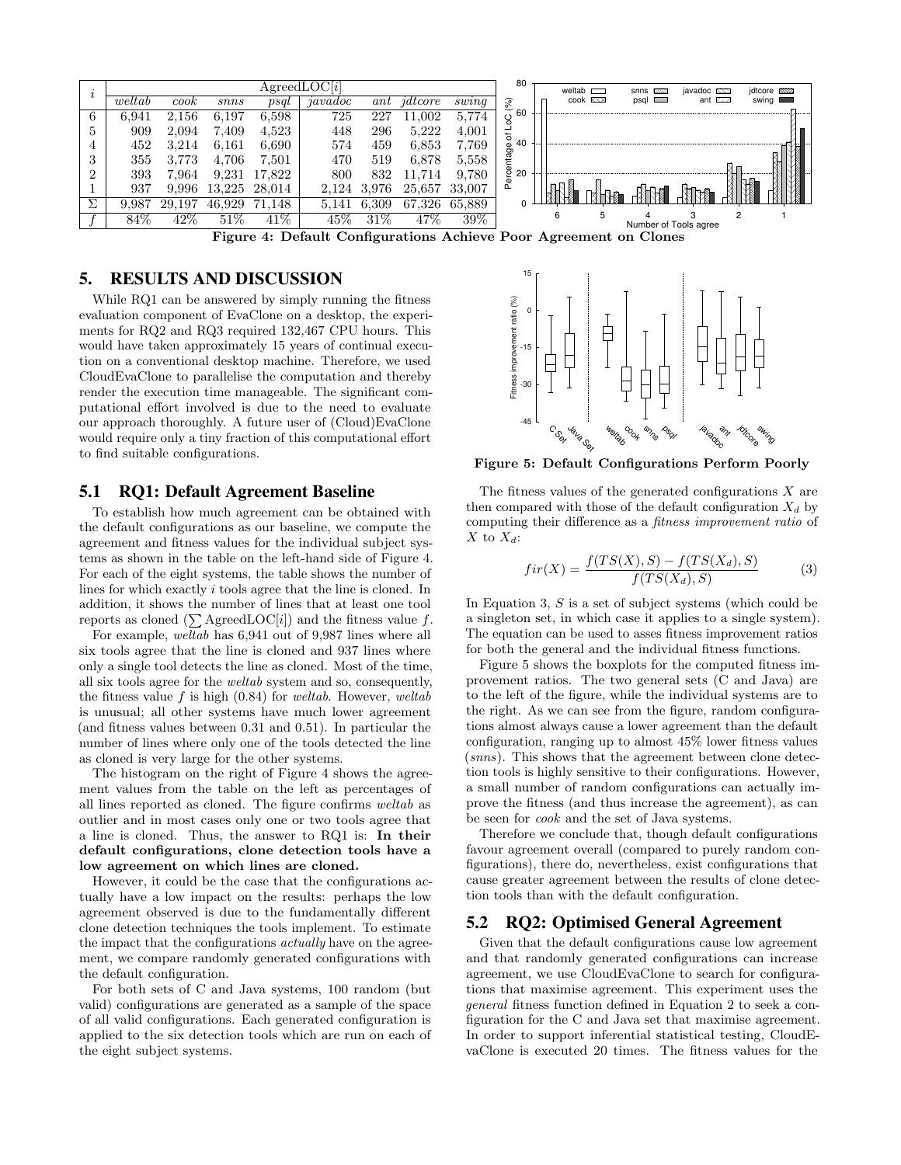

## 5. RESULTS AND DISCUSSION

While RQ1 can be answered by simply running the fitness evaluation component of EvaClone on a desktop, the experiments for RQ2 and RQ3 required 132,467 CPU hours. This would have taken approximately 15 years of continual execution on a conventional desktop machine. Therefore, we used CloudEvaClone to parallelise the computation and thereby render the execution time manageable. The significant computational effort involved is due to the need to evaluate our approach thoroughly. A future user of (Cloud)EvaClone would require only a tiny fraction of this computational effort to find suitable configurations.

## 5.1 RQ1: Default Agreement Baseline

To establish how much agreement can be obtained with the default configurations as our baseline, we compute the agreement and fitness values for the individual subject systems as shown in the table on the left-hand side of Figure 4. For each of the eight systems, the table shows the number of lines for which exactly i tools agree that the line is cloned. In addition, it shows the number of lines that at least one tool reports as cloned  $(\sum$  AgreedLOC[i]) and the fitness value f.

For example, weltab has 6,941 out of 9,987 lines where all six tools agree that the line is cloned and 937 lines where only a single tool detects the line as cloned. Most of the time, all six tools agree for the weltab system and so, consequently, the fitness value  $f$  is high  $(0.84)$  for *weltab*. However, *weltab* is unusual; all other systems have much lower agreement (and fitness values between 0.31 and 0.51). In particular the number of lines where only one of the tools detected the line as cloned is very large for the other systems.

The histogram on the right of Figure 4 shows the agreement values from the table on the left as percentages of all lines reported as cloned. The figure confirms weltab as outlier and in most cases only one or two tools agree that a line is cloned. Thus, the answer to RQ1 is: In their default configurations, clone detection tools have a low agreement on which lines are cloned.

However, it could be the case that the configurations actually have a low impact on the results: perhaps the low agreement observed is due to the fundamentally different clone detection techniques the tools implement. To estimate the impact that the configurations *actually* have on the agreement, we compare randomly generated configurations with the default configuration.

For both sets of C and Java systems, 100 random (but valid) configurations are generated as a sample of the space of all valid configurations. Each generated configuration is applied to the six detection tools which are run on each of the eight subject systems.



Figure 5: Default Configurations Perform Poorly

The fitness values of the generated configurations  $X$  are then compared with those of the default configuration  $X_d$  by computing their difference as a fitness improvement ratio of X to  $X_d$ :

$$
fir(X) = \frac{f(TS(X), S) - f(TS(X_d), S)}{f(TS(X_d), S)}
$$
(3)

In Equation 3, S is a set of subject systems (which could be a singleton set, in which case it applies to a single system). The equation can be used to asses fitness improvement ratios for both the general and the individual fitness functions.

Figure 5 shows the boxplots for the computed fitness improvement ratios. The two general sets (C and Java) are to the left of the figure, while the individual systems are to the right. As we can see from the figure, random configurations almost always cause a lower agreement than the default configuration, ranging up to almost 45% lower fitness values (snns). This shows that the agreement between clone detection tools is highly sensitive to their configurations. However, a small number of random configurations can actually improve the fitness (and thus increase the agreement), as can be seen for cook and the set of Java systems.

Therefore we conclude that, though default configurations favour agreement overall (compared to purely random configurations), there do, nevertheless, exist configurations that cause greater agreement between the results of clone detection tools than with the default configuration.

## 5.2 RQ2: Optimised General Agreement

Given that the default configurations cause low agreement and that randomly generated configurations can increase agreement, we use CloudEvaClone to search for configurations that maximise agreement. This experiment uses the general fitness function defined in Equation 2 to seek a configuration for the C and Java set that maximise agreement. In order to support inferential statistical testing, CloudEvaClone is executed 20 times. The fitness values for the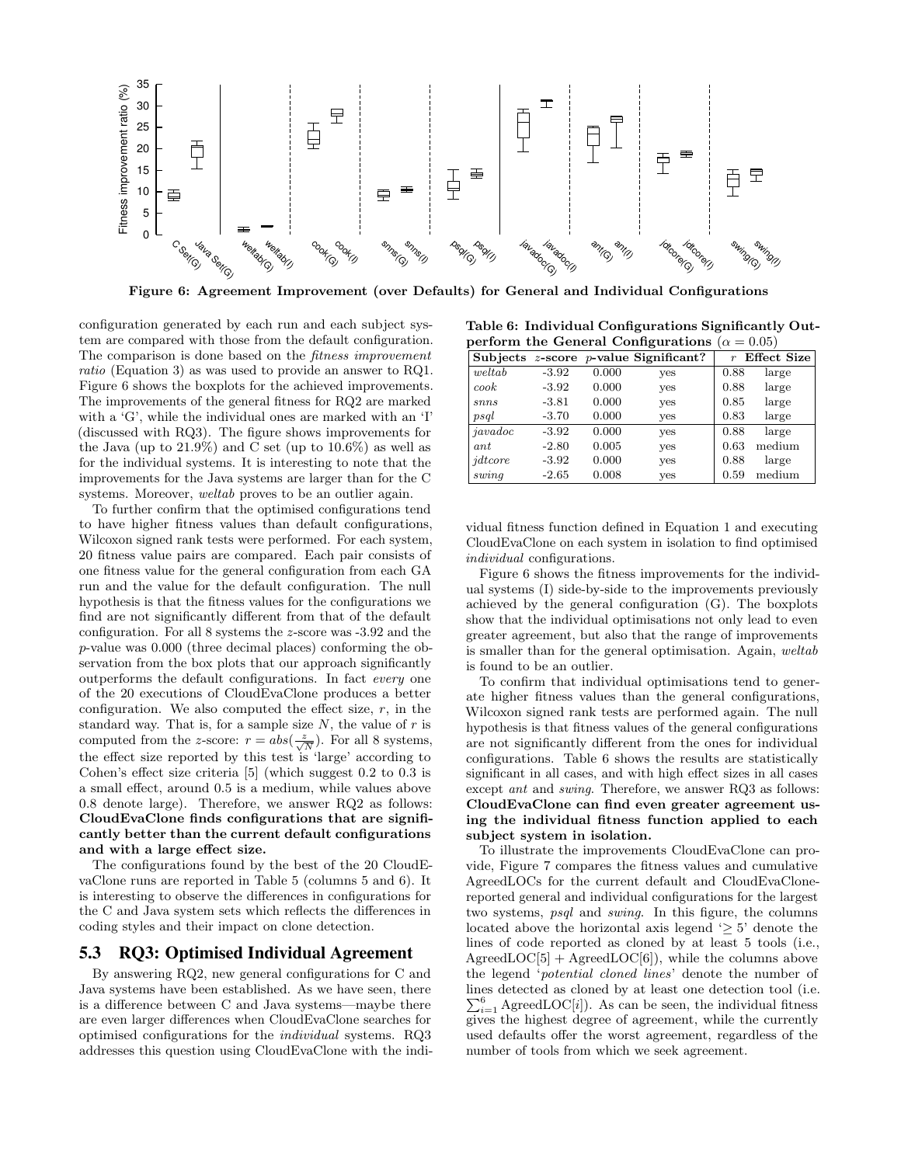

Figure 6: Agreement Improvement (over Defaults) for General and Individual Configurations

configuration generated by each run and each subject system are compared with those from the default configuration. The comparison is done based on the *fitness improvement* ratio (Equation 3) as was used to provide an answer to RQ1. Figure 6 shows the boxplots for the achieved improvements. The improvements of the general fitness for RQ2 are marked with a 'G', while the individual ones are marked with an 'I' (discussed with RQ3). The figure shows improvements for the Java (up to  $21.9\%$ ) and C set (up to  $10.6\%$ ) as well as for the individual systems. It is interesting to note that the improvements for the Java systems are larger than for the C systems. Moreover, weltab proves to be an outlier again.

To further confirm that the optimised configurations tend to have higher fitness values than default configurations, Wilcoxon signed rank tests were performed. For each system, 20 fitness value pairs are compared. Each pair consists of one fitness value for the general configuration from each GA run and the value for the default configuration. The null hypothesis is that the fitness values for the configurations we find are not significantly different from that of the default configuration. For all 8 systems the z-score was -3.92 and the p-value was 0.000 (three decimal places) conforming the observation from the box plots that our approach significantly outperforms the default configurations. In fact every one of the 20 executions of CloudEvaClone produces a better configuration. We also computed the effect size,  $r$ , in the standard way. That is, for a sample size  $N$ , the value of  $r$  is computed from the z-score:  $r = abs(\frac{z}{\sqrt{N}})$ . For all 8 systems, the effect size reported by this test is 'large' according to Cohen's effect size criteria [5] (which suggest 0.2 to 0.3 is a small effect, around 0.5 is a medium, while values above 0.8 denote large). Therefore, we answer RQ2 as follows: CloudEvaClone finds configurations that are significantly better than the current default configurations and with a large effect size.

The configurations found by the best of the 20 CloudEvaClone runs are reported in Table 5 (columns 5 and 6). It is interesting to observe the differences in configurations for the C and Java system sets which reflects the differences in coding styles and their impact on clone detection.

## 5.3 RQ3: Optimised Individual Agreement

By answering RQ2, new general configurations for C and Java systems have been established. As we have seen, there is a difference between C and Java systems—maybe there are even larger differences when CloudEvaClone searches for optimised configurations for the individual systems. RQ3 addresses this question using CloudEvaClone with the indi-

Table 6: Individual Configurations Significantly Outperform the General Configurations ( $\alpha = 0.05$ )

|          |         |       | Subjects $z$ -score $p$ -value Significant? |      | $r$ Effect Size |
|----------|---------|-------|---------------------------------------------|------|-----------------|
| weltab   | $-3.92$ | 0.000 | yes                                         | 0.88 | large           |
| ${c}ook$ | $-3.92$ | 0.000 | yes                                         | 0.88 | large           |
| snns     | $-3.81$ | 0.000 | yes                                         | 0.85 | large           |
| psal     | $-3.70$ | 0.000 | yes                                         | 0.83 | large           |
| javadoc  | $-3.92$ | 0.000 | yes                                         | 0.88 | large           |
| ant      | $-2.80$ | 0.005 | yes                                         | 0.63 | medium          |
| jdtcore  | $-3.92$ | 0.000 | yes                                         | 0.88 | large           |
| swing    | $-2.65$ | 0.008 | yes                                         | 0.59 | medium          |

vidual fitness function defined in Equation 1 and executing CloudEvaClone on each system in isolation to find optimised individual configurations.

Figure 6 shows the fitness improvements for the individual systems (I) side-by-side to the improvements previously achieved by the general configuration (G). The boxplots show that the individual optimisations not only lead to even greater agreement, but also that the range of improvements is smaller than for the general optimisation. Again, weltab is found to be an outlier.

To confirm that individual optimisations tend to generate higher fitness values than the general configurations, Wilcoxon signed rank tests are performed again. The null hypothesis is that fitness values of the general configurations are not significantly different from the ones for individual configurations. Table 6 shows the results are statistically significant in all cases, and with high effect sizes in all cases except ant and swing. Therefore, we answer RQ3 as follows: CloudEvaClone can find even greater agreement using the individual fitness function applied to each subject system in isolation.

To illustrate the improvements CloudEvaClone can provide, Figure 7 compares the fitness values and cumulative AgreedLOCs for the current default and CloudEvaClonereported general and individual configurations for the largest two systems, psql and swing. In this figure, the columns located above the horizontal axis legend  $\geq 5$ ' denote the lines of code reported as cloned by at least 5 tools (i.e.,  $AgreedLOC[5] + AgreedLOC[6]),$  while the columns above the legend 'potential cloned lines' denote the number of lines detected as cloned by at least one detection tool (i.e.  $\sum_{i=1}^{6}$  AgreedLOC[*i*]). As can be seen, the individual fitness gives the highest degree of agreement, while the currently used defaults offer the worst agreement, regardless of the number of tools from which we seek agreement.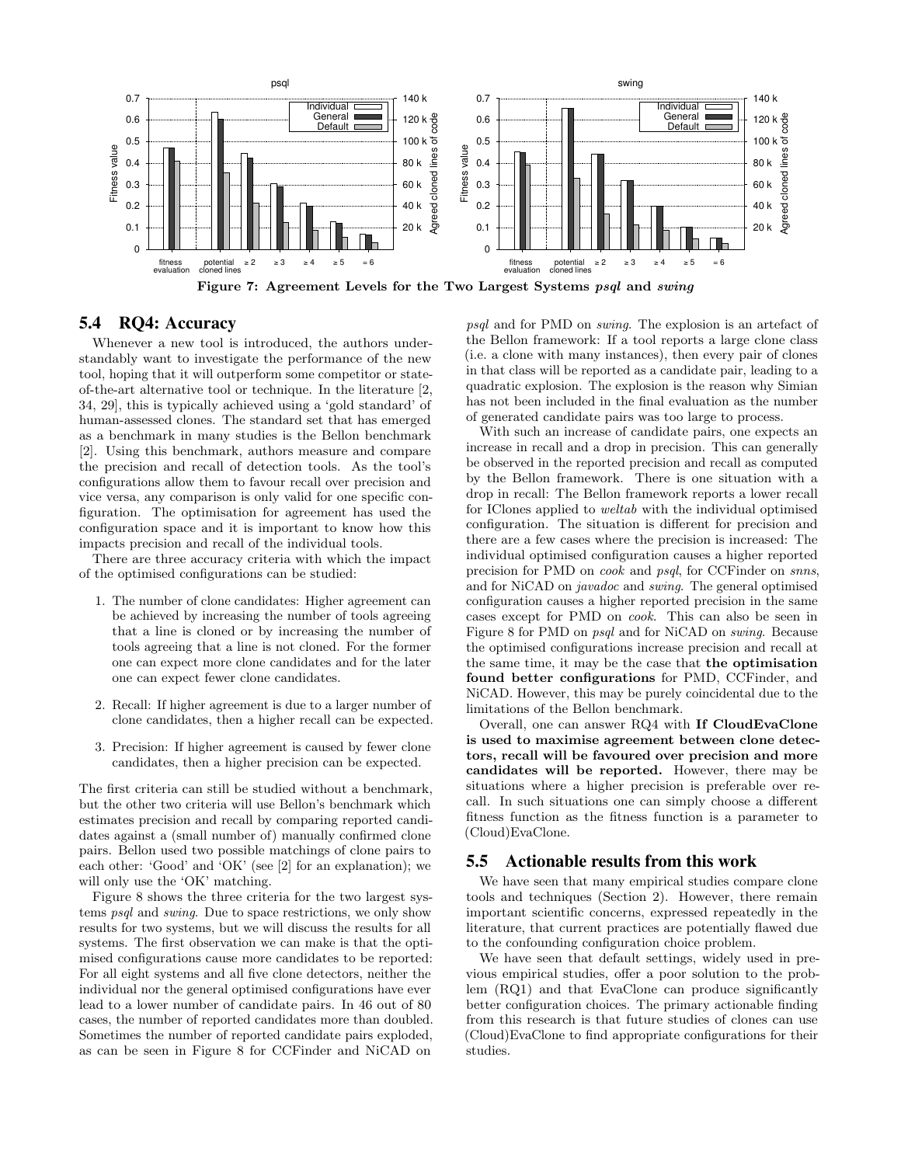

Figure 7: Agreement Levels for the Two Largest Systems psql and swing

# 5.4 RQ4: Accuracy

Whenever a new tool is introduced, the authors understandably want to investigate the performance of the new tool, hoping that it will outperform some competitor or stateof-the-art alternative tool or technique. In the literature [2, 34, 29], this is typically achieved using a 'gold standard' of human-assessed clones. The standard set that has emerged as a benchmark in many studies is the Bellon benchmark [2]. Using this benchmark, authors measure and compare the precision and recall of detection tools. As the tool's configurations allow them to favour recall over precision and vice versa, any comparison is only valid for one specific configuration. The optimisation for agreement has used the configuration space and it is important to know how this impacts precision and recall of the individual tools.

There are three accuracy criteria with which the impact of the optimised configurations can be studied:

- 1. The number of clone candidates: Higher agreement can be achieved by increasing the number of tools agreeing that a line is cloned or by increasing the number of tools agreeing that a line is not cloned. For the former one can expect more clone candidates and for the later one can expect fewer clone candidates.
- 2. Recall: If higher agreement is due to a larger number of clone candidates, then a higher recall can be expected.
- 3. Precision: If higher agreement is caused by fewer clone candidates, then a higher precision can be expected.

The first criteria can still be studied without a benchmark, but the other two criteria will use Bellon's benchmark which estimates precision and recall by comparing reported candidates against a (small number of) manually confirmed clone pairs. Bellon used two possible matchings of clone pairs to each other: 'Good' and 'OK' (see [2] for an explanation); we will only use the 'OK' matching.

Figure 8 shows the three criteria for the two largest systems psql and swing. Due to space restrictions, we only show results for two systems, but we will discuss the results for all systems. The first observation we can make is that the optimised configurations cause more candidates to be reported: For all eight systems and all five clone detectors, neither the individual nor the general optimised configurations have ever lead to a lower number of candidate pairs. In 46 out of 80 cases, the number of reported candidates more than doubled. Sometimes the number of reported candidate pairs exploded, as can be seen in Figure 8 for CCFinder and NiCAD on

psql and for PMD on swing. The explosion is an artefact of the Bellon framework: If a tool reports a large clone class (i.e. a clone with many instances), then every pair of clones in that class will be reported as a candidate pair, leading to a quadratic explosion. The explosion is the reason why Simian has not been included in the final evaluation as the number of generated candidate pairs was too large to process.

With such an increase of candidate pairs, one expects an increase in recall and a drop in precision. This can generally be observed in the reported precision and recall as computed by the Bellon framework. There is one situation with a drop in recall: The Bellon framework reports a lower recall for IClones applied to weltab with the individual optimised configuration. The situation is different for precision and there are a few cases where the precision is increased: The individual optimised configuration causes a higher reported precision for PMD on cook and psql, for CCFinder on snns, and for NiCAD on javadoc and swing. The general optimised configuration causes a higher reported precision in the same cases except for PMD on cook. This can also be seen in Figure 8 for PMD on psql and for NiCAD on swing. Because the optimised configurations increase precision and recall at the same time, it may be the case that the optimisation found better configurations for PMD, CCFinder, and NiCAD. However, this may be purely coincidental due to the limitations of the Bellon benchmark.

Overall, one can answer RQ4 with If CloudEvaClone is used to maximise agreement between clone detectors, recall will be favoured over precision and more candidates will be reported. However, there may be situations where a higher precision is preferable over recall. In such situations one can simply choose a different fitness function as the fitness function is a parameter to (Cloud)EvaClone.

## 5.5 Actionable results from this work

We have seen that many empirical studies compare clone tools and techniques (Section 2). However, there remain important scientific concerns, expressed repeatedly in the literature, that current practices are potentially flawed due to the confounding configuration choice problem.

We have seen that default settings, widely used in previous empirical studies, offer a poor solution to the problem (RQ1) and that EvaClone can produce significantly better configuration choices. The primary actionable finding from this research is that future studies of clones can use (Cloud)EvaClone to find appropriate configurations for their studies.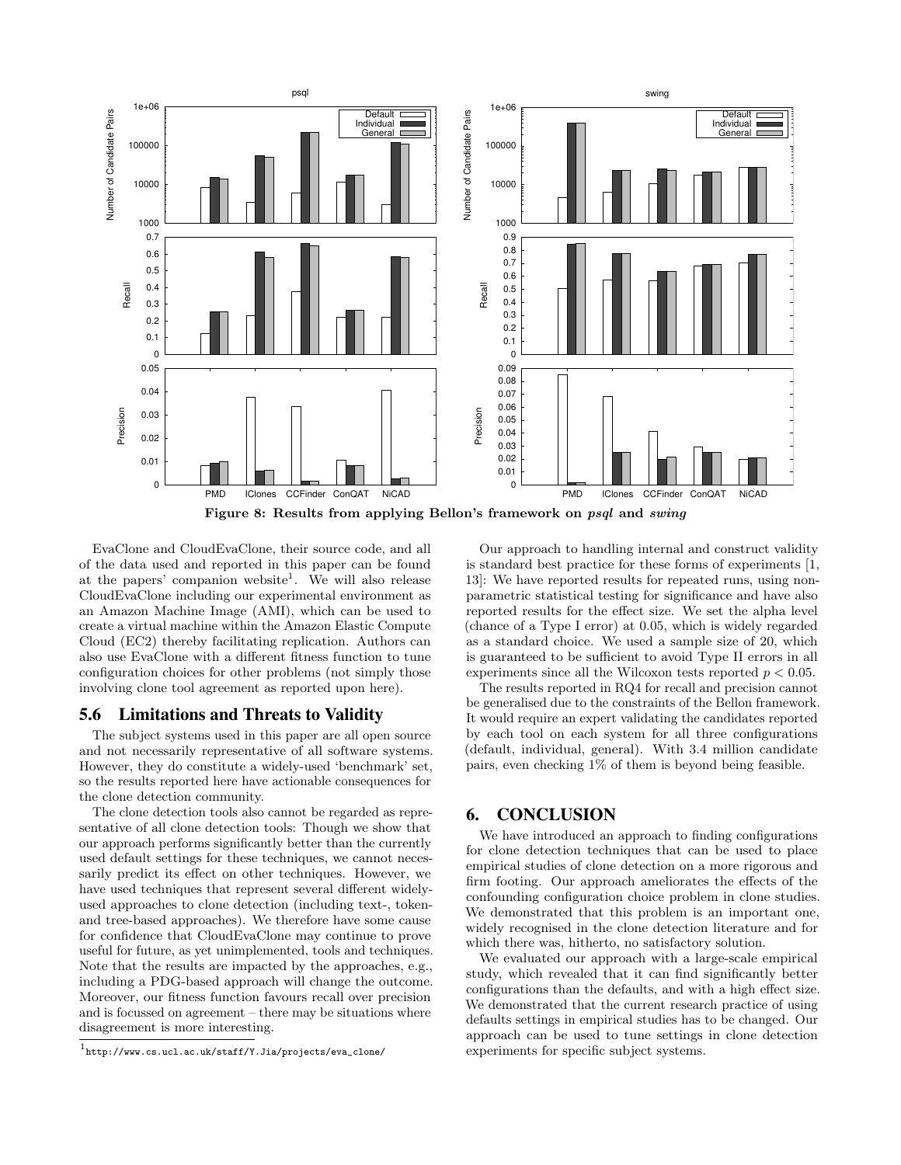

EvaClone and CloudEvaClone, their source code, and all of the data used and reported in this paper can be found at the papers' companion website<sup>1</sup>. We will also release CloudEvaClone including our experimental environment as an Amazon Machine Image (AMI), which can be used to create a virtual machine within the Amazon Elastic Compute Cloud (EC2) thereby facilitating replication. Authors can also use EvaClone with a different fitness function to tune configuration choices for other problems (not simply those involving clone tool agreement as reported upon here).

## 5.6 Limitations and Threats to Validity

The subject systems used in this paper are all open source and not necessarily representative of all software systems. However, they do constitute a widely-used 'benchmark' set, so the results reported here have actionable consequences for the clone detection community.

The clone detection tools also cannot be regarded as representative of all clone detection tools: Though we show that our approach performs significantly better than the currently used default settings for these techniques, we cannot necessarily predict its effect on other techniques. However, we have used techniques that represent several different widelyused approaches to clone detection (including text-, tokenand tree-based approaches). We therefore have some cause for confidence that CloudEvaClone may continue to prove useful for future, as yet unimplemented, tools and techniques. Note that the results are impacted by the approaches, e.g., including a PDG-based approach will change the outcome. Moreover, our fitness function favours recall over precision and is focussed on agreement – there may be situations where disagreement is more interesting.

Our approach to handling internal and construct validity is standard best practice for these forms of experiments [1, 13]: We have reported results for repeated runs, using nonparametric statistical testing for significance and have also reported results for the effect size. We set the alpha level (chance of a Type I error) at 0.05, which is widely regarded as a standard choice. We used a sample size of 20, which is guaranteed to be sufficient to avoid Type II errors in all experiments since all the Wilcoxon tests reported  $p < 0.05$ .

The results reported in RQ4 for recall and precision cannot be generalised due to the constraints of the Bellon framework. It would require an expert validating the candidates reported by each tool on each system for all three configurations (default, individual, general). With 3.4 million candidate pairs, even checking 1% of them is beyond being feasible.

## 6. CONCLUSION

We have introduced an approach to finding configurations for clone detection techniques that can be used to place empirical studies of clone detection on a more rigorous and firm footing. Our approach ameliorates the effects of the confounding configuration choice problem in clone studies. We demonstrated that this problem is an important one, widely recognised in the clone detection literature and for which there was, hitherto, no satisfactory solution.

We evaluated our approach with a large-scale empirical study, which revealed that it can find significantly better configurations than the defaults, and with a high effect size. We demonstrated that the current research practice of using defaults settings in empirical studies has to be changed. Our approach can be used to tune settings in clone detection experiments for specific subject systems.

<sup>1</sup> http://www.cs.ucl.ac.uk/staff/Y.Jia/projects/eva\_clone/